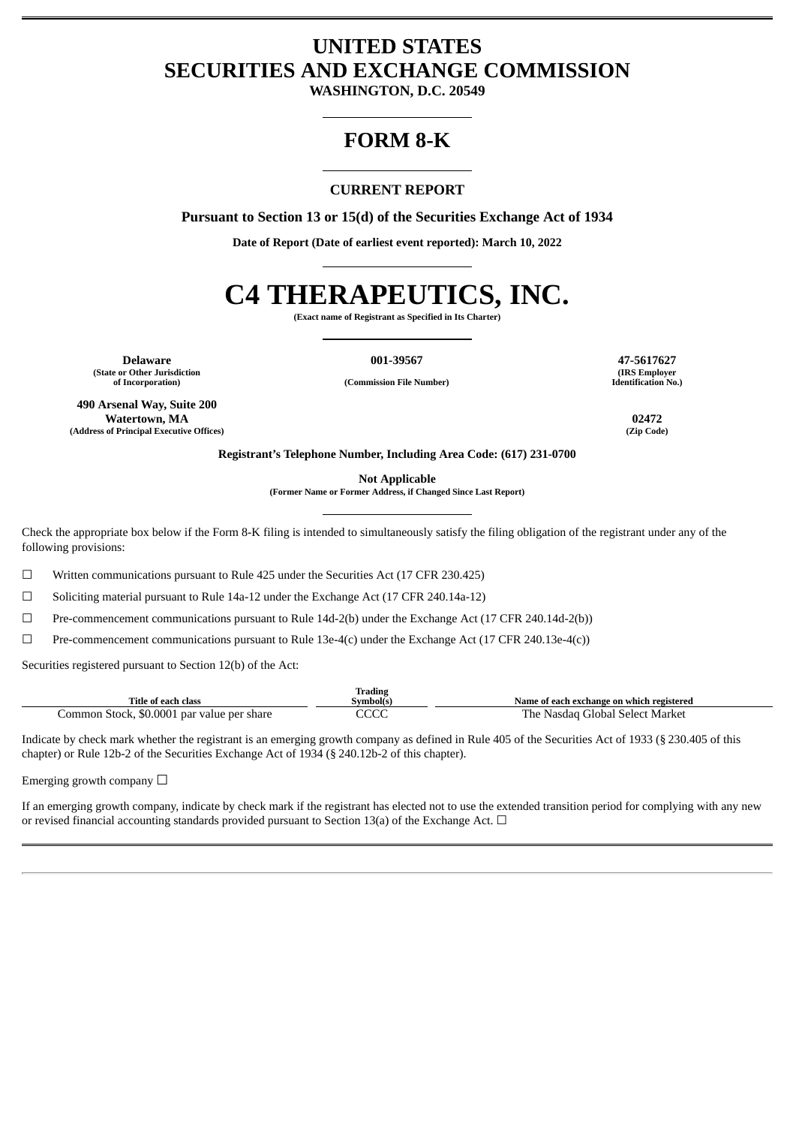# **UNITED STATES SECURITIES AND EXCHANGE COMMISSION**

**WASHINGTON, D.C. 20549**

# **FORM 8-K**

# **CURRENT REPORT**

**Pursuant to Section 13 or 15(d) of the Securities Exchange Act of 1934**

**Date of Report (Date of earliest event reported): March 10, 2022**

# **C4 THERAPEUTICS, INC.**

**(Exact name of Registrant as Specified in Its Charter)**

**Delaware 001-39567 47-5617627 (State or Other Jurisdiction**

**490 Arsenal Way, Suite 200 Watertown, MA 02472 (Address of Principal Executive Offices) (Zip Code)**

**of Incorporation) (Commission File Number)**

**(IRS Employer Identification No.)**

**Registrant's Telephone Number, Including Area Code: (617) 231-0700**

**Not Applicable**

**(Former Name or Former Address, if Changed Since Last Report)**

Check the appropriate box below if the Form 8-K filing is intended to simultaneously satisfy the filing obligation of the registrant under any of the following provisions:

☐ Written communications pursuant to Rule 425 under the Securities Act (17 CFR 230.425)

 $\Box$  Soliciting material pursuant to Rule 14a-12 under the Exchange Act (17 CFR 240.14a-12)

☐ Pre-commencement communications pursuant to Rule 14d-2(b) under the Exchange Act (17 CFR 240.14d-2(b))

☐ Pre-commencement communications pursuant to Rule 13e-4(c) under the Exchange Act (17 CFR 240.13e-4(c))

Securities registered pursuant to Section 12(b) of the Act:

|                                            | <b>Trading</b> |                                           |
|--------------------------------------------|----------------|-------------------------------------------|
| Title of each class                        | Svmbol(s)      | Name of each exchange on which registered |
| Common Stock, \$0.0001 par value per share | $\sim$<br>しししし | The .<br>: Nasdag Global Select Market    |

Indicate by check mark whether the registrant is an emerging growth company as defined in Rule 405 of the Securities Act of 1933 (§ 230.405 of this chapter) or Rule 12b-2 of the Securities Exchange Act of 1934 (§ 240.12b-2 of this chapter).

Emerging growth company  $\Box$ 

If an emerging growth company, indicate by check mark if the registrant has elected not to use the extended transition period for complying with any new or revised financial accounting standards provided pursuant to Section 13(a) of the Exchange Act.  $\Box$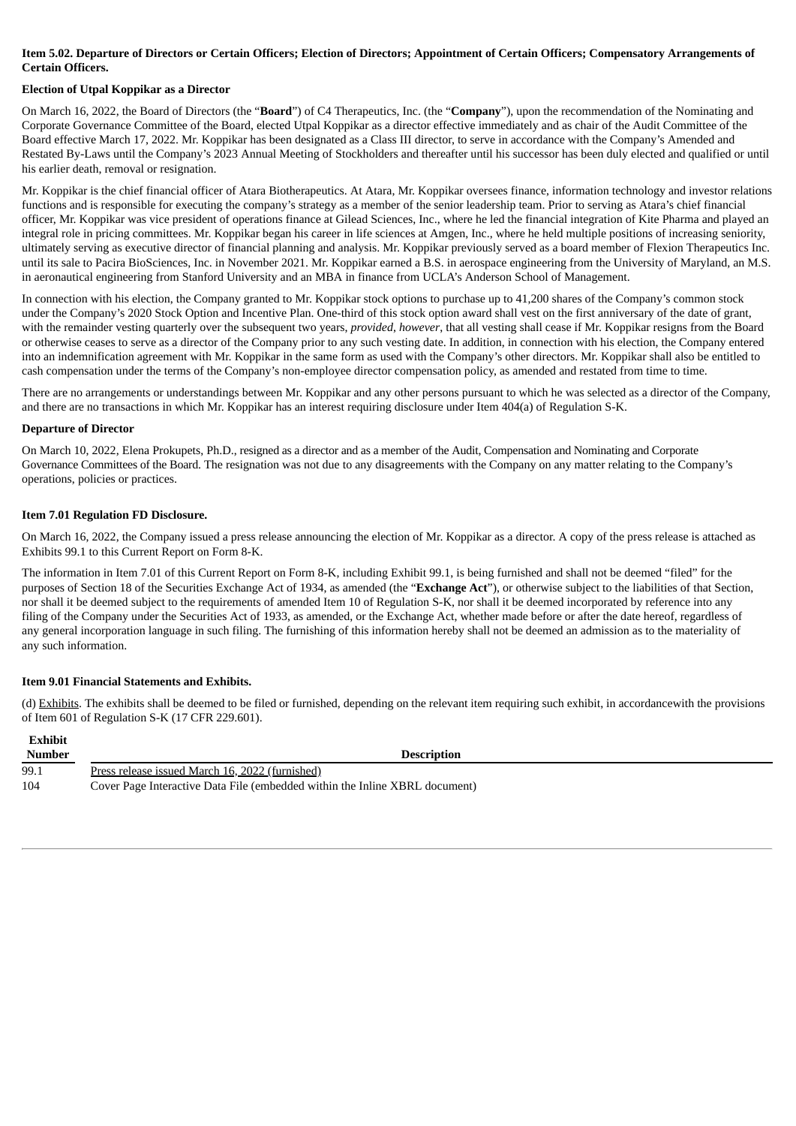### Item 5.02. Departure of Directors or Certain Officers; Election of Directors; Appointment of Certain Officers; Compensatory Arrangements of **Certain Officers.**

# **Election of Utpal Koppikar as a Director**

On March 16, 2022, the Board of Directors (the "**Board**") of C4 Therapeutics, Inc. (the "**Company**"), upon the recommendation of the Nominating and Corporate Governance Committee of the Board, elected Utpal Koppikar as a director effective immediately and as chair of the Audit Committee of the Board effective March 17, 2022. Mr. Koppikar has been designated as a Class III director, to serve in accordance with the Company's Amended and Restated By-Laws until the Company's 2023 Annual Meeting of Stockholders and thereafter until his successor has been duly elected and qualified or until his earlier death, removal or resignation.

Mr. Koppikar is the chief financial officer of Atara Biotherapeutics. At Atara, Mr. Koppikar oversees finance, information technology and investor relations functions and is responsible for executing the company's strategy as a member of the senior leadership team. Prior to serving as Atara's chief financial officer, Mr. Koppikar was vice president of operations finance at Gilead Sciences, Inc., where he led the financial integration of Kite Pharma and played an integral role in pricing committees. Mr. Koppikar began his career in life sciences at Amgen, Inc., where he held multiple positions of increasing seniority, ultimately serving as executive director of financial planning and analysis. Mr. Koppikar previously served as a board member of Flexion Therapeutics Inc. until its sale to Pacira BioSciences, Inc. in November 2021. Mr. Koppikar earned a B.S. in aerospace engineering from the University of Maryland, an M.S. in aeronautical engineering from Stanford University and an MBA in finance from UCLA's Anderson School of Management.

In connection with his election, the Company granted to Mr. Koppikar stock options to purchase up to 41,200 shares of the Company's common stock under the Company's 2020 Stock Option and Incentive Plan. One-third of this stock option award shall vest on the first anniversary of the date of grant, with the remainder vesting quarterly over the subsequent two years, *provided*, *however*, that all vesting shall cease if Mr. Koppikar resigns from the Board or otherwise ceases to serve as a director of the Company prior to any such vesting date. In addition, in connection with his election, the Company entered into an indemnification agreement with Mr. Koppikar in the same form as used with the Company's other directors. Mr. Koppikar shall also be entitled to cash compensation under the terms of the Company's non-employee director compensation policy, as amended and restated from time to time.

There are no arrangements or understandings between Mr. Koppikar and any other persons pursuant to which he was selected as a director of the Company, and there are no transactions in which Mr. Koppikar has an interest requiring disclosure under Item 404(a) of Regulation S-K.

#### **Departure of Director**

On March 10, 2022, Elena Prokupets, Ph.D., resigned as a director and as a member of the Audit, Compensation and Nominating and Corporate Governance Committees of the Board. The resignation was not due to any disagreements with the Company on any matter relating to the Company's operations, policies or practices.

#### **Item 7.01 Regulation FD Disclosure.**

On March 16, 2022, the Company issued a press release announcing the election of Mr. Koppikar as a director. A copy of the press release is attached as Exhibits 99.1 to this Current Report on Form 8-K.

The information in Item 7.01 of this Current Report on Form 8-K, including Exhibit 99.1, is being furnished and shall not be deemed "filed" for the purposes of Section 18 of the Securities Exchange Act of 1934, as amended (the "**Exchange Act**"), or otherwise subject to the liabilities of that Section, nor shall it be deemed subject to the requirements of amended Item 10 of Regulation S-K, nor shall it be deemed incorporated by reference into any filing of the Company under the Securities Act of 1933, as amended, or the Exchange Act, whether made before or after the date hereof, regardless of any general incorporation language in such filing. The furnishing of this information hereby shall not be deemed an admission as to the materiality of any such information.

#### **Item 9.01 Financial Statements and Exhibits.**

(d) Exhibits. The exhibits shall be deemed to be filed or furnished, depending on the relevant item requiring such exhibit, in accordancewith the provisions of Item 601 of Regulation S-K (17 CFR 229.601).

| <b>Exhibit</b><br><b>Number</b> | <b>Description</b>                                                          |
|---------------------------------|-----------------------------------------------------------------------------|
| 99.1                            | Press release issued March 16, 2022 (furnished)                             |
| 104                             | Cover Page Interactive Data File (embedded within the Inline XBRL document) |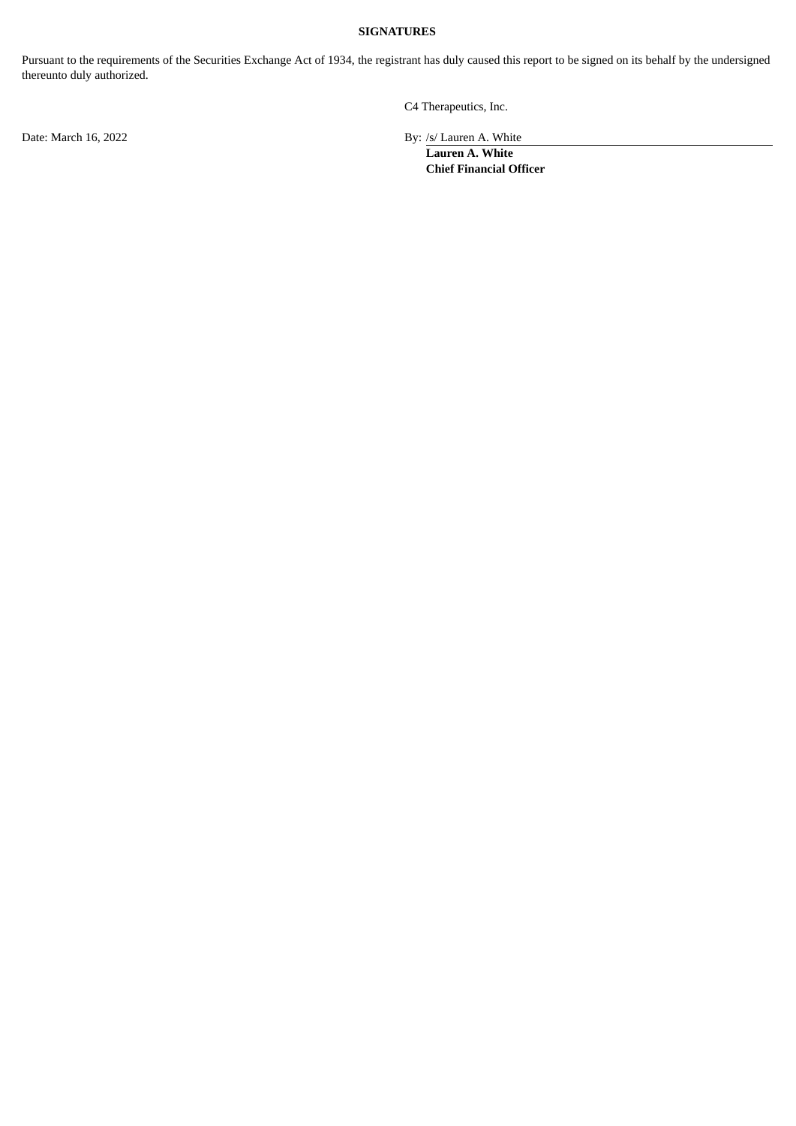# **SIGNATURES**

Pursuant to the requirements of the Securities Exchange Act of 1934, the registrant has duly caused this report to be signed on its behalf by the undersigned thereunto duly authorized.

C4 Therapeutics, Inc.

Date: March 16, 2022 By: /s/ Lauren A. White

**Lauren A. White Chief Financial Officer**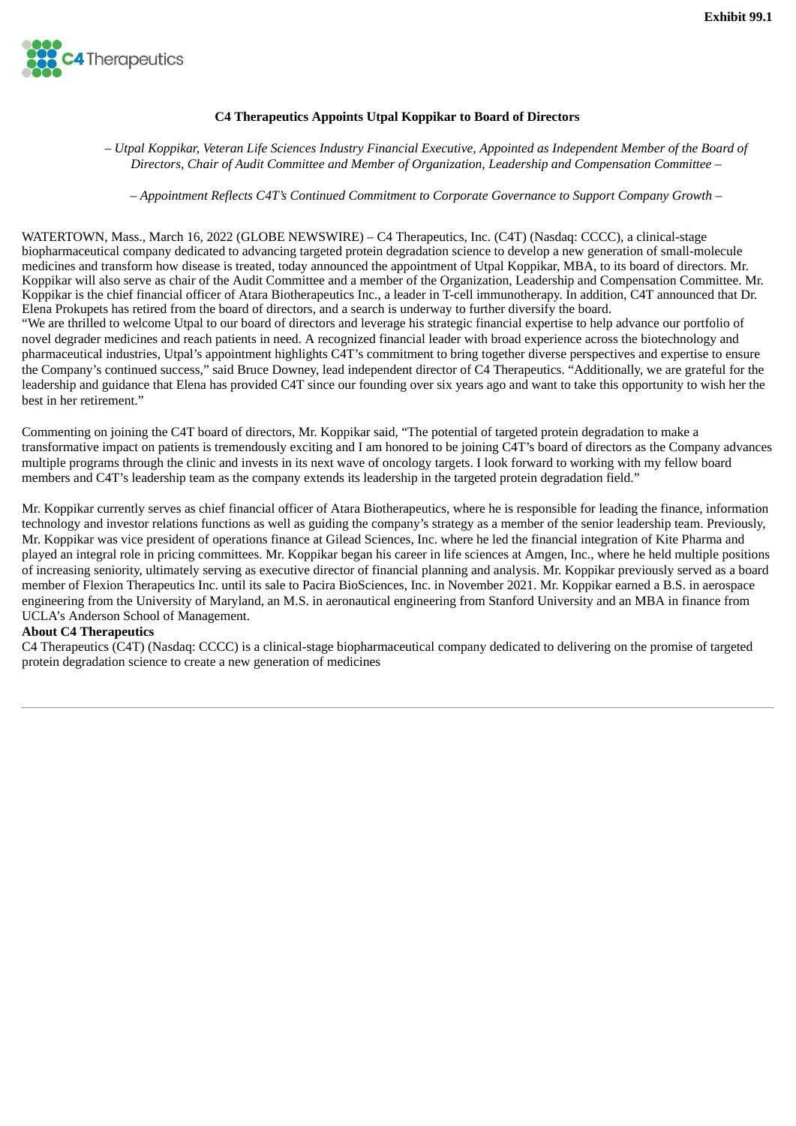<span id="page-3-0"></span>

# **C4 Therapeutics Appoints Utpal Koppikar to Board of Directors**

- Utpal Koppikar, Veteran Life Sciences Industry Financial Executive, Appointed as Independent Member of the Board of *Directors, Chair of Audit Committee and Member of Organization, Leadership and Compensation Committee –*

*– Appointment Reflects C4T's Continued Commitment to Corporate Governance to Support Company Growth –*

WATERTOWN, Mass., March 16, 2022 (GLOBE NEWSWIRE) – C4 Therapeutics, Inc. (C4T) (Nasdaq: CCCC), a clinical-stage biopharmaceutical company dedicated to advancing targeted protein degradation science to develop a new generation of small-molecule medicines and transform how disease is treated, today announced the appointment of Utpal Koppikar, MBA, to its board of directors. Mr. Koppikar will also serve as chair of the Audit Committee and a member of the Organization, Leadership and Compensation Committee. Mr. Koppikar is the chief financial officer of Atara Biotherapeutics Inc., a leader in T-cell immunotherapy. In addition, C4T announced that Dr. Elena Prokupets has retired from the board of directors, and a search is underway to further diversify the board. "We are thrilled to welcome Utpal to our board of directors and leverage his strategic financial expertise to help advance our portfolio of novel degrader medicines and reach patients in need. A recognized financial leader with broad experience across the biotechnology and pharmaceutical industries, Utpal's appointment highlights C4T's commitment to bring together diverse perspectives and expertise to ensure the Company's continued success," said Bruce Downey, lead independent director of C4 Therapeutics. "Additionally, we are grateful for the leadership and guidance that Elena has provided C4T since our founding over six years ago and want to take this opportunity to wish her the best in her retirement."

Commenting on joining the C4T board of directors, Mr. Koppikar said, "The potential of targeted protein degradation to make a transformative impact on patients is tremendously exciting and I am honored to be joining C4T's board of directors as the Company advances multiple programs through the clinic and invests in its next wave of oncology targets. I look forward to working with my fellow board members and C4T's leadership team as the company extends its leadership in the targeted protein degradation field."

Mr. Koppikar currently serves as chief financial officer of Atara Biotherapeutics, where he is responsible for leading the finance, information technology and investor relations functions as well as guiding the company's strategy as a member of the senior leadership team. Previously, Mr. Koppikar was vice president of operations finance at Gilead Sciences, Inc. where he led the financial integration of Kite Pharma and played an integral role in pricing committees. Mr. Koppikar began his career in life sciences at Amgen, Inc., where he held multiple positions of increasing seniority, ultimately serving as executive director of financial planning and analysis. Mr. Koppikar previously served as a board member of Flexion Therapeutics Inc. until its sale to Pacira BioSciences, Inc. in November 2021. Mr. Koppikar earned a B.S. in aerospace engineering from the University of Maryland, an M.S. in aeronautical engineering from Stanford University and an MBA in finance from UCLA's Anderson School of Management.

#### **About C4 Therapeutics**

C4 Therapeutics (C4T) (Nasdaq: CCCC) is a clinical-stage biopharmaceutical company dedicated to delivering on the promise of targeted protein degradation science to create a new generation of medicines